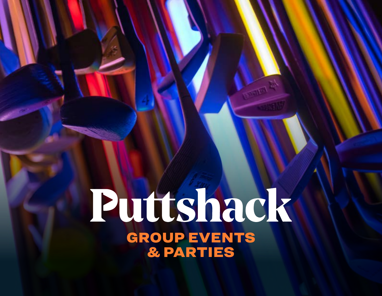# Puttshack GROUP EVENTS & PARTIES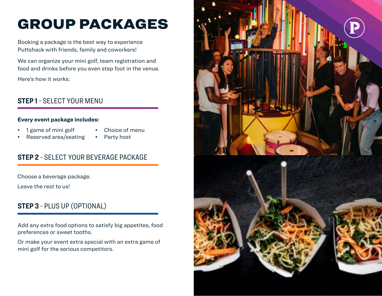## GROUP PACKAGES

Booking a package is the best way to experience Puttshack with friends, family and coworkers!

We can organize your mini golf, team registration and food and drinks before you even step foot in the venue. Here's how it works:

## **STEP 1** - SELECT YOUR MENU

## **Every event package includes:**

- 1 game of mini golf
- Choice of menu
- Reserved area/seating
- Party host

## **STEP 2** - SELECT YOUR BEVERAGE PACKAGE

Choose a beverage package.

Leave the rest to us!

## **STEP 3** - PLUS UP (OPTIONAL)

Add any extra food options to satisfy big appetites, food preferences or sweet tooths.

Or make your event extra special with an extra game of mini golf for the serious competitors.

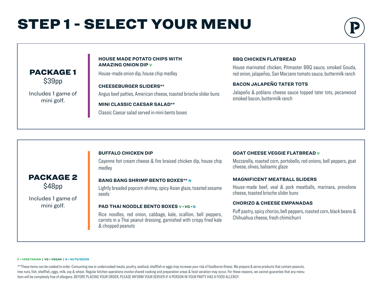## STEP 1 - SELECT YOUR MENU



## \$39pp PACKAGE 1

Includes 1 game of mini golf.

#### **HOUSE MADE POTATO CHIPS WITH AMAZING ONION DIP V**

House-made onion dip, house chip medley

**CHEESEBURGER SLIDERS\*\*** Angus beef patties, American cheese, toasted brioche slider buns

**MINI CLASSIC CAESAR SALAD\*\***

Classic Caesar salad served in mini bento boxes

### **BBQ CHICKEN FLATBREAD**

House marinated chicken, Pitmaster BBQ sauce, smoked Gouda, red onion, jalapeños, San Marzano tomato sauce, buttermilk ranch

## **BACON JALAPEÑO TATER TOTS**

Jalapeño & poblano cheese sauce topped tater tots, pecanwood smoked bacon, buttermilk ranch

### **BUFFALO CHICKEN DIP**

Cayenne hot cream cheese & fire braised chicken dip, house chip medley

#### **BANG BANG SHRIMP BENTO BOXES\*\* N**

Lightly breaded popcorn shrimp, spicy Asian glaze, toasted sesame seeds

### **PAD THAI NOODLE BENTO BOXES V • VG • N**

Rice noodles, red onion, cabbage, kale, scallion, bell peppers, carrots in a Thai peanut dressing, garnished with crispy fried kale & chopped peanuts

### **GOAT CHEESE VEGGIE FLATBREAD V**

Mozzarella, roasted corn, portobello, red onions, bell peppers, goat cheese, olives, balsamic glaze

### **MAGNIFICENT MEATBALL SLIDERS**

House-made beef, veal & pork meatballs, marinara, provolone cheese, toasted brioche slider buns

### **CHORIZO & CHEESE EMPANADAS**

Puff pastry, spicy chorizo, bell peppers, roasted corn, black beans & Chihuahua cheese, fresh chimichurri

#### **V = VEGETARIAN | VG = VEGAN | N = NUTS/SEEDS**

\$48pp PACKAGE 2

Includes 1 game of mini golf.

\*\*These items can be cooked to order. Consuming raw or undercooked meats, poultry, seafood, shellfish or eggs may increase your risk of foodborne illness. We prepare & serve products that contain peanuts, tree nuts, fish, shellfish, eggs, milk, soy & wheat. Regular kitchen operations involve shared cooking and preparation areas & food variation may occur. For these reasons, we cannot guarantee that any menu item will be completely free of allergens. BEFORE PLACING YOUR ORDER, PLEASE INFORM YOUR SERVER IF A PERSON IN YOUR PARTY HAS A FOOD ALLERGY.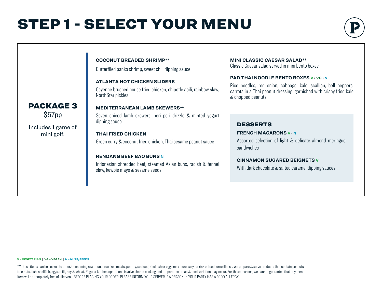## STEP 1 - SELECT YOUR MENU

**COCONUT BREADED SHRIMP\*\***

Butterflied panko shrimp, sweet chili dipping sauce



## **ATLANTA HOT CHICKEN SLIDERS** Cayenne brushed house fried chicken, chipotle aoili, rainbow slaw, NorthStar pickles **MEDITERRANEAN LAMB SKEWERS\*\*** Seven spiced lamb skewers, peri peri drizzle & minted yogurt dipping sauce  $\blacksquare$  **THAI FRIED CHICKEN FRENCH MACARONS** v · N Green curry & coconut fried chicken, Thai sesame peanut sauce **RENDANG BEEF BAO BUNS N** Indonesian shredded beef, steamed Asian buns, radish & fennel slaw, kewpie mayo & sesame seeds

### **MINI CLASSIC CAESAR SALAD\*\***

Classic Caesar salad served in mini bento boxes

### **PAD THAI NOODLE BENTO BOXES V • VG • N**

Rice noodles, red onion, cabbage, kale, scallion, bell peppers, carrots in a Thai peanut dressing, garnished with crispy fried kale & chopped peanuts

### DESSERTS

Assorted selection of light & delicate almond meringue sandwiches

### **CINNAMON SUGARED BEIGNETS V**

With dark chocolate & salted caramel dipping sauces

#### **V = VEGETARIAN | VG = VEGAN | N = NUTS/SEEDS**

\*\*These items can be cooked to order. Consuming raw or undercooked meats, poultry, seafood, shellfish or eggs may increase your risk of foodborne illness. We prepare & serve products that contain peanuts, tree nuts, fish, shellfish, eggs, milk, soy & wheat. Regular kitchen operations involve shared cooking and preparation areas & food variation may occur. For these reasons, we cannot guarantee that any menu item will be completely free of allergens. BEFORE PLACING YOUR ORDER, PLEASE INFORM YOUR SERVER IF A PERSON IN YOUR PARTY HAS A FOOD ALLERGY.

## \$57pp PACKAGE 3

Includes 1 game of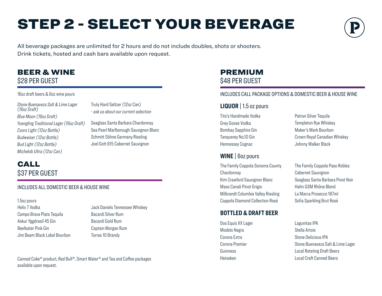## STEP 2 - SELECT YOUR BEVERAGE



All beverage packages are unlimited for 2 hours and do not include doubles, shots or shooters. Drink tickets, hosted and cash bars available upon request.

## BEER & WINE \$28 PER GUEST

### 16oz draft beers & 6oz wine pours

*Stone Buenaveza Salt & Lime Lager (16oz Draft) Blue Moon (16oz Draft) Yuengling Traditional Lager (16oz Draft) Coors Light (12oz Bottle) Budweiser (12oz Bottle) Bud Light (12oz Bottle) Michelob Ultra (12oz Can)*

Truly Hard Seltzer (12oz Can) *- ask us about our current selection*

Seaglass Santa Barbara Chardonnay Sea Pearl Marlborough Sauvignon Blanc Schmitt Söhne Germany Riesling Joel Gott 815 Cabernet Sauvignon

## CALL \$37 PER GUEST

## INCLUDES ALL DOMESTIC BEER & HOUSE WINE

Helix 7 Vodka 1.5oz pours

Campo Brava Plata Tequila Askur Yggdrasil 45 Gin Beefeater Pink Gin Jim Beam Black Label Bourbon Jack Daniels Tennessee Whiskey Bacardi Silver Rum Bacardi Gold Rum Captain Morgan Rum Torres 10 Brandy

Canned Coke® product, Red Bull®, Smart Water® and Tea and Coffee packages Local Craft Canned Beers Local Craft Canned Beers available upon request.

## PREMIUM \$48 PER GUEST

## INCLUDES CALL PACKAGE OPTIONS & DOMESTIC BEER & HOUSE WINE

## **LIQUOR** | 1.5 oz pours

Tito's Handmade Vodka Grey Goose Vodka Bombay Sapphire Gin Tanquerey No.10 Gin Hennessey Cognac

## **WINE** | 6oz pours

The Family Coppola Sonoma County **Chardonnav** Kim Crawford Sauvignon Blanc Maso Canali Pinot Grigio Milbrandt Columbia Valley Riesling Coppola Diamond Collection Rosé

## **BOTTLED & DRAFT BEER**

Dos Equis XX Lager Modelo Negra Corona Extra Corona Premier **Guinness** Heineken

Patron Silver Tequila Templeton Rye Whiskey Maker's Mark Bourbon Crown Royal Canadian Whiskey Johnny Walker Black

The Family Coppola Paso Robles Cabernet Sauvignon Seaglass Santa Barbara Pinot Noir Hahn GSM Rhône Blend La Marca Prosecco 187ml Sofia Sparkling Brut Rosé

Lagunitas IPA Stella Artois Stone Delicious IPA Stone Buenaveza Salt & Lime Lager Local Rotating Draft Beers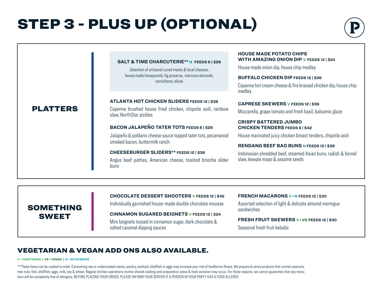## STEP 3 - PLUS UP (OPTIONAL)



|                 | <b>SALT &amp; TIME CHARCUTERIE** N FEEDS 6   \$29</b><br>Selection of artisanal cured meats & local cheeses,<br>house made honeycomb, fig preserve, marcona almonds,<br>cornichons, olives | <b>HOUSE MADE POTATO CHIPS</b><br><b>WITH AMAZING ONION DIP V FEEDS 12   \$24</b><br>House made onion dip, house chip medley<br><b>BUFFALO CHICKEN DIP FEEDS 12   \$36</b><br>Cayenne hot cream cheese & fire braised chicken dip, house chip<br>medley |
|-----------------|--------------------------------------------------------------------------------------------------------------------------------------------------------------------------------------------|---------------------------------------------------------------------------------------------------------------------------------------------------------------------------------------------------------------------------------------------------------|
| <b>PLATTERS</b> | <b>ATLANTA HOT CHICKEN SLIDERS FEEDS 12   \$38</b><br>Cayenne brushed house fried chicken, chipotle aoili, rainbow<br>slaw, NorthStar pickles                                              | <b>CAPRESE SKEWERS V FEEDS 12   \$36</b><br>Mozzarella, grape tomato and fresh basil, balsamic glaze                                                                                                                                                    |
|                 | <b>BACON JALAPEÑO TATER TOTS FEEDS 6   \$28</b>                                                                                                                                            | <b>CRISPY BATTERED JUMBO</b><br><b>CHICKEN TENDERS FEEDS 6   \$42</b>                                                                                                                                                                                   |
|                 | Jalapeño & poblano cheese sauce topped tater tots, pecanwood<br>smoked bacon, buttermilk ranch                                                                                             | House marinated juicy chicken breast tenders, chipotle aioli                                                                                                                                                                                            |
|                 |                                                                                                                                                                                            | <b>RENDANG BEEF BAO BUNS N FEEDS 12   \$38</b>                                                                                                                                                                                                          |
|                 | CHEESEBURGER SLIDERS** FEEDS 12   \$38                                                                                                                                                     | Indonesian shredded beef, steamed Asian buns, radish & fennel                                                                                                                                                                                           |
|                 | Angus beef patties, American cheese, toasted brioche slider<br>buns                                                                                                                        | slaw, kewpie mayo & sesame seeds                                                                                                                                                                                                                        |
|                 |                                                                                                                                                                                            |                                                                                                                                                                                                                                                         |

## SOMETHING SWEET

### **CHOCOLATE DESSERT SHOOTERS V FEEDS 12 | \$45**

Individually garnished house-made double chocolate mousse

**CINNAMON SUGARED BEIGNETS V FEEDS 12 | \$24** Mini beignets tossed in cinnamon sugar, dark chocolate & salted caramel dipping sauces

### **FRENCH MACARONS V • N FEEDS 12 | \$30**

Assorted selection of light & delicate almond meringue sandwiches

### **FRESH FRUIT SKEWERS V • VG FEEDS 12 | \$30**

Seasonal fresh fruit kebabs

## VEGETARIAN & VEGAN ADD ONS ALSO AVAILABLE.

#### **V = VEGETARIAN | VG = VEGAN | N = NUTS/SEEDS**

\*\*These items can be cooked to order. Consuming raw or undercooked meats, poultry, seafood, shellfish or eggs may increase your risk of foodborne illness. We prepare & serve products that contain peanuts, tree nuts, fish, shellfish, eggs, milk, soy & wheat. Regular kitchen operations involve shared cooking and preparation areas & food variation may occur. For these reasons, we cannot guarantee that any menu item will be completely free of allergens. BEFORE PLACING YOUR ORDER, PLEASE INFORM YOUR SERVER IF A PERSON IN YOUR PARTY HAS A FOOD ALLERGY.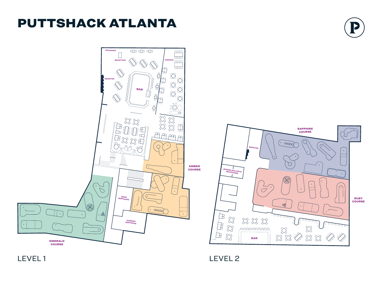## PUTTSHACK ATLANTA



LEVEL 1 LEVEL 2

RUBY COURSE